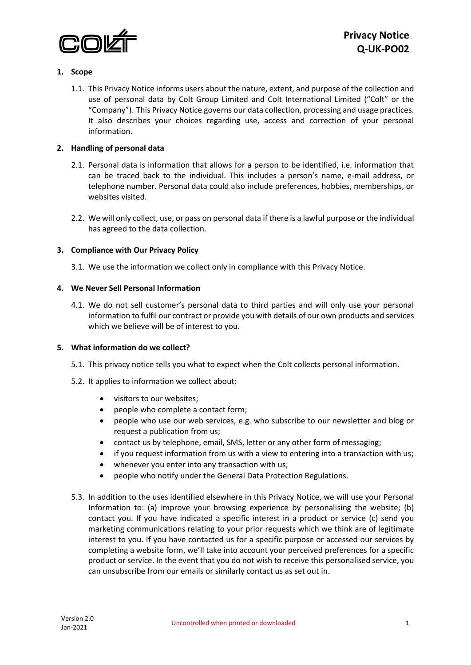

# **1. Scope**

1.1. This Privacy Notice informs users about the nature, extent, and purpose of the collection and use of personal data by Colt Group Limited and Colt International Limited ("Colt" or the "Company"). This Privacy Notice governs our data collection, processing and usage practices. It also describes your choices regarding use, access and correction of your personal information.

## **2. Handling of personal data**

- 2.1. Personal data is information that allows for a person to be identified, i.e. information that can be traced back to the individual. This includes a person's name, e-mail address, or telephone number. Personal data could also include preferences, hobbies, memberships, or websites visited.
- 2.2. We will only collect, use, or pass on personal data if there is a lawful purpose or the individual has agreed to the data collection.

## **3. Compliance with Our Privacy Policy**

3.1. We use the information we collect only in compliance with this Privacy Notice.

## **4. We Never Sell Personal Information**

4.1. We do not sell customer's personal data to third parties and will only use your personal information to fulfil our contract or provide you with details of our own products and services which we believe will be of interest to you.

#### **5. What information do we collect?**

- 5.1. This privacy notice tells you what to expect when the Colt collects personal information.
- 5.2. It applies to information we collect about:
	- visitors to our websites;
	- people who complete a contact form;
	- people who use our web services, e.g. who subscribe to our newsletter and blog or request a publication from us;
	- contact us by telephone, email, SMS, letter or any other form of messaging;
	- if you request information from us with a view to entering into a transaction with us;
	- whenever you enter into any transaction with us;
	- people who notify under the General Data Protection Regulations.
- 5.3. In addition to the uses identified elsewhere in this Privacy Notice, we will use your Personal Information to: (a) improve your browsing experience by personalising the website; (b) contact you. If you have indicated a specific interest in a product or service (c) send you marketing communications relating to your prior requests which we think are of legitimate interest to you. If you have contacted us for a specific purpose or accessed our services by completing a website form, we'll take into account your perceived preferences for a specific product or service. In the event that you do not wish to receive this personalised service, you can unsubscribe from our emails or similarly contact us as set out in.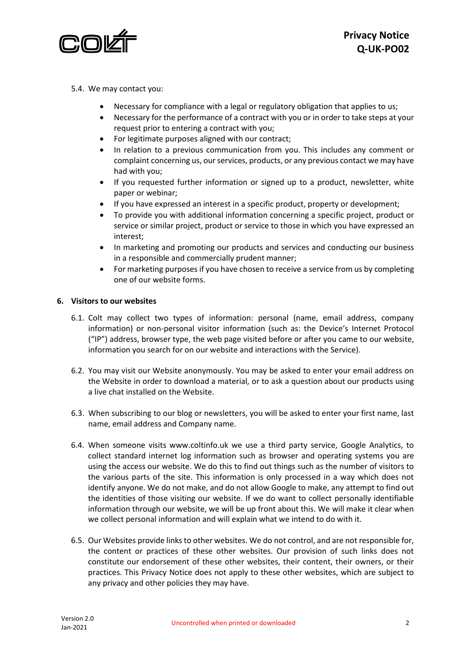

- 5.4. We may contact you:
	- Necessary for compliance with a legal or regulatory obligation that applies to us;
	- Necessary for the performance of a contract with you or in order to take steps at your request prior to entering a contract with you;
	- For legitimate purposes aligned with our contract;
	- In relation to a previous communication from you. This includes any comment or complaint concerning us, our services, products, or any previous contact we may have had with you;
	- If you requested further information or signed up to a product, newsletter, white paper or webinar;
	- If you have expressed an interest in a specific product, property or development;
	- To provide you with additional information concerning a specific project, product or service or similar project, product or service to those in which you have expressed an interest;
	- In marketing and promoting our products and services and conducting our business in a responsible and commercially prudent manner;
	- For marketing purposes if you have chosen to receive a service from us by completing one of our website forms.

#### **6. Visitors to our websites**

- 6.1. Colt may collect two types of information: personal (name, email address, company information) or non-personal visitor information (such as: the Device's Internet Protocol ("IP") address, browser type, the web page visited before or after you came to our website, information you search for on our website and interactions with the Service).
- 6.2. You may visit our Website anonymously. You may be asked to enter your email address on the Website in order to download a material, or to ask a question about our products using a live chat installed on the Website.
- 6.3. When subscribing to our blog or newsletters, you will be asked to enter your first name, last name, email address and Company name.
- 6.4. When someone visits www.coltinfo.uk we use a third party service, Google Analytics, to collect standard internet log information such as browser and operating systems you are using the access our website. We do this to find out things such as the number of visitors to the various parts of the site. This information is only processed in a way which does not identify anyone. We do not make, and do not allow Google to make, any attempt to find out the identities of those visiting our website. If we do want to collect personally identifiable information through our website, we will be up front about this. We will make it clear when we collect personal information and will explain what we intend to do with it.
- 6.5. Our Websites provide links to other websites. We do not control, and are not responsible for, the content or practices of these other websites. Our provision of such links does not constitute our endorsement of these other websites, their content, their owners, or their practices. This Privacy Notice does not apply to these other websites, which are subject to any privacy and other policies they may have.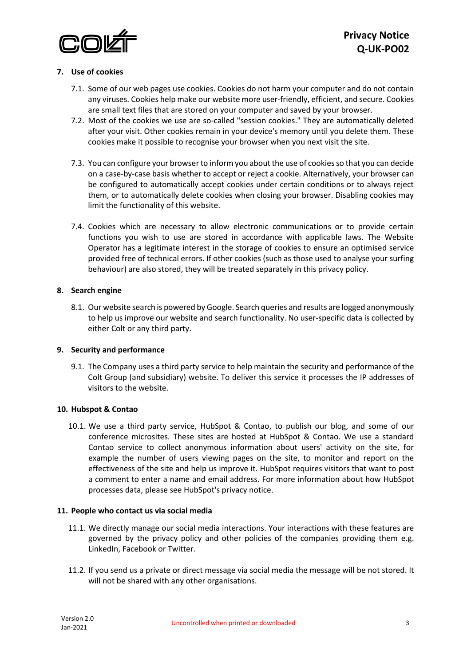

# **7. Use of cookies**

- 7.1. Some of our web pages use cookies. Cookies do not harm your computer and do not contain any viruses. Cookies help make our website more user-friendly, efficient, and secure. Cookies are small text files that are stored on your computer and saved by your browser.
- 7.2. Most of the cookies we use are so-called "session cookies." They are automatically deleted after your visit. Other cookies remain in your device's memory until you delete them. These cookies make it possible to recognise your browser when you next visit the site.
- 7.3. You can configure your browser to inform you about the use of cookies so that you can decide on a case-by-case basis whether to accept or reject a cookie. Alternatively, your browser can be configured to automatically accept cookies under certain conditions or to always reject them, or to automatically delete cookies when closing your browser. Disabling cookies may limit the functionality of this website.
- 7.4. Cookies which are necessary to allow electronic communications or to provide certain functions you wish to use are stored in accordance with applicable laws. The Website Operator has a legitimate interest in the storage of cookies to ensure an optimised service provided free of technical errors. If other cookies (such as those used to analyse your surfing behaviour) are also stored, they will be treated separately in this privacy policy.

## **8. Search engine**

8.1. Our website search is powered by Google. Search queries and results are logged anonymously to help us improve our website and search functionality. No user-specific data is collected by either Colt or any third party.

#### **9. Security and performance**

9.1. The Company uses a third party service to help maintain the security and performance of the Colt Group (and subsidiary) website. To deliver this service it processes the IP addresses of visitors to the website.

#### **10. Hubspot & Contao**

10.1. We use a third party service, HubSpot & Contao, to publish our blog, and some of our conference microsites. These sites are hosted at HubSpot & Contao. We use a standard Contao service to collect anonymous information about users' activity on the site, for example the number of users viewing pages on the site, to monitor and report on the effectiveness of the site and help us improve it. HubSpot requires visitors that want to post a comment to enter a name and email address. For more information about how HubSpot processes data, please see HubSpot's privacy notice.

#### **11. People who contact us via social media**

- 11.1. We directly manage our social media interactions. Your interactions with these features are governed by the privacy policy and other policies of the companies providing them e.g. LinkedIn, Facebook or Twitter.
- 11.2. If you send us a private or direct message via social media the message will be not stored. It will not be shared with any other organisations.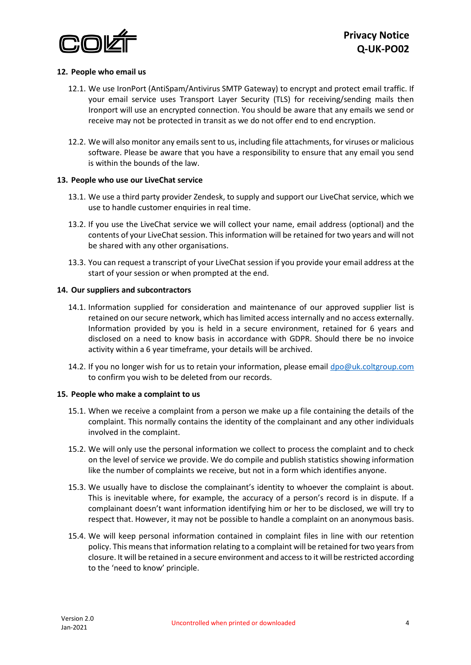

## **12. People who email us**

- 12.1. We use IronPort (AntiSpam/Antivirus SMTP Gateway) to encrypt and protect email traffic. If your email service uses Transport Layer Security (TLS) for receiving/sending mails then Ironport will use an encrypted connection. You should be aware that any emails we send or receive may not be protected in transit as we do not offer end to end encryption.
- 12.2. We will also monitor any emails sent to us, including file attachments, for viruses or malicious software. Please be aware that you have a responsibility to ensure that any email you send is within the bounds of the law.

#### **13. People who use our LiveChat service**

- 13.1. We use a third party provider Zendesk, to supply and support our LiveChat service, which we use to handle customer enquiries in real time.
- 13.2. If you use the LiveChat service we will collect your name, email address (optional) and the contents of your LiveChat session. This information will be retained for two years and will not be shared with any other organisations.
- 13.3. You can request a transcript of your LiveChat session if you provide your email address at the start of your session or when prompted at the end.

#### **14. Our suppliers and subcontractors**

- 14.1. Information supplied for consideration and maintenance of our approved supplier list is retained on our secure network, which has limited access internally and no access externally. Information provided by you is held in a secure environment, retained for 6 years and disclosed on a need to know basis in accordance with GDPR. Should there be no invoice activity within a 6 year timeframe, your details will be archived.
- 14.2. If you no longer wish for us to retain your information, please email [dpo@uk.coltgroup.com](mailto:dpo@uk.coltgroup.com) to confirm you wish to be deleted from our records.

#### **15. People who make a complaint to us**

- 15.1. When we receive a complaint from a person we make up a file containing the details of the complaint. This normally contains the identity of the complainant and any other individuals involved in the complaint.
- 15.2. We will only use the personal information we collect to process the complaint and to check on the level of service we provide. We do compile and publish statistics showing information like the number of complaints we receive, but not in a form which identifies anyone.
- 15.3. We usually have to disclose the complainant's identity to whoever the complaint is about. This is inevitable where, for example, the accuracy of a person's record is in dispute. If a complainant doesn't want information identifying him or her to be disclosed, we will try to respect that. However, it may not be possible to handle a complaint on an anonymous basis.
- 15.4. We will keep personal information contained in complaint files in line with our retention policy. This means that information relating to a complaint will be retained for two years from closure. It will be retained in a secure environment and access to it will be restricted according to the 'need to know' principle.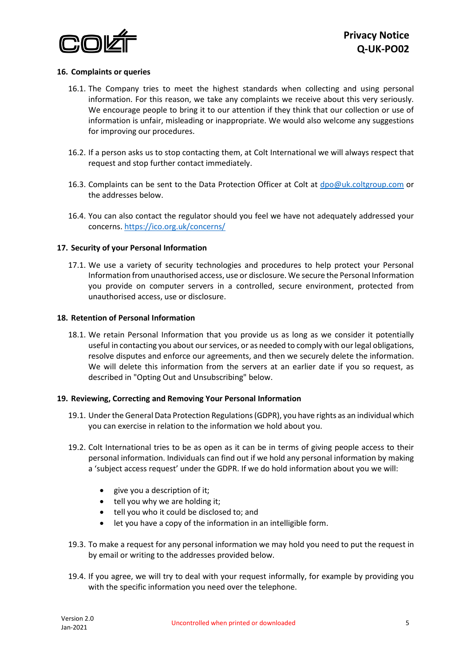

### **16. Complaints or queries**

- 16.1. The Company tries to meet the highest standards when collecting and using personal information. For this reason, we take any complaints we receive about this very seriously. We encourage people to bring it to our attention if they think that our collection or use of information is unfair, misleading or inappropriate. We would also welcome any suggestions for improving our procedures.
- 16.2. If a person asks us to stop contacting them, at Colt International we will always respect that request and stop further contact immediately.
- 16.3. Complaints can be sent to the Data Protection Officer at Colt at [dpo@uk.coltgroup.com](mailto:dpo@uk.coltgroup.com) or the addresses below.
- 16.4. You can also contact the regulator should you feel we have not adequately addressed your concerns.<https://ico.org.uk/concerns/>

## **17. Security of your Personal Information**

17.1. We use a variety of security technologies and procedures to help protect your Personal Information from unauthorised access, use or disclosure. We secure the Personal Information you provide on computer servers in a controlled, secure environment, protected from unauthorised access, use or disclosure.

#### **18. Retention of Personal Information**

18.1. We retain Personal Information that you provide us as long as we consider it potentially useful in contacting you about our services, or as needed to comply with our legal obligations, resolve disputes and enforce our agreements, and then we securely delete the information. We will delete this information from the servers at an earlier date if you so request, as described in "Opting Out and Unsubscribing" below.

#### **19. Reviewing, Correcting and Removing Your Personal Information**

- 19.1. Under the General Data Protection Regulations (GDPR), you have rights as an individual which you can exercise in relation to the information we hold about you.
- 19.2. Colt International tries to be as open as it can be in terms of giving people access to their personal information. Individuals can find out if we hold any personal information by making a 'subject access request' under the GDPR. If we do hold information about you we will:
	- give you a description of it;
	- $\bullet$  tell you why we are holding it;
	- tell you who it could be disclosed to; and
	- let you have a copy of the information in an intelligible form.
- 19.3. To make a request for any personal information we may hold you need to put the request in by email or writing to the addresses provided below.
- 19.4. If you agree, we will try to deal with your request informally, for example by providing you with the specific information you need over the telephone.